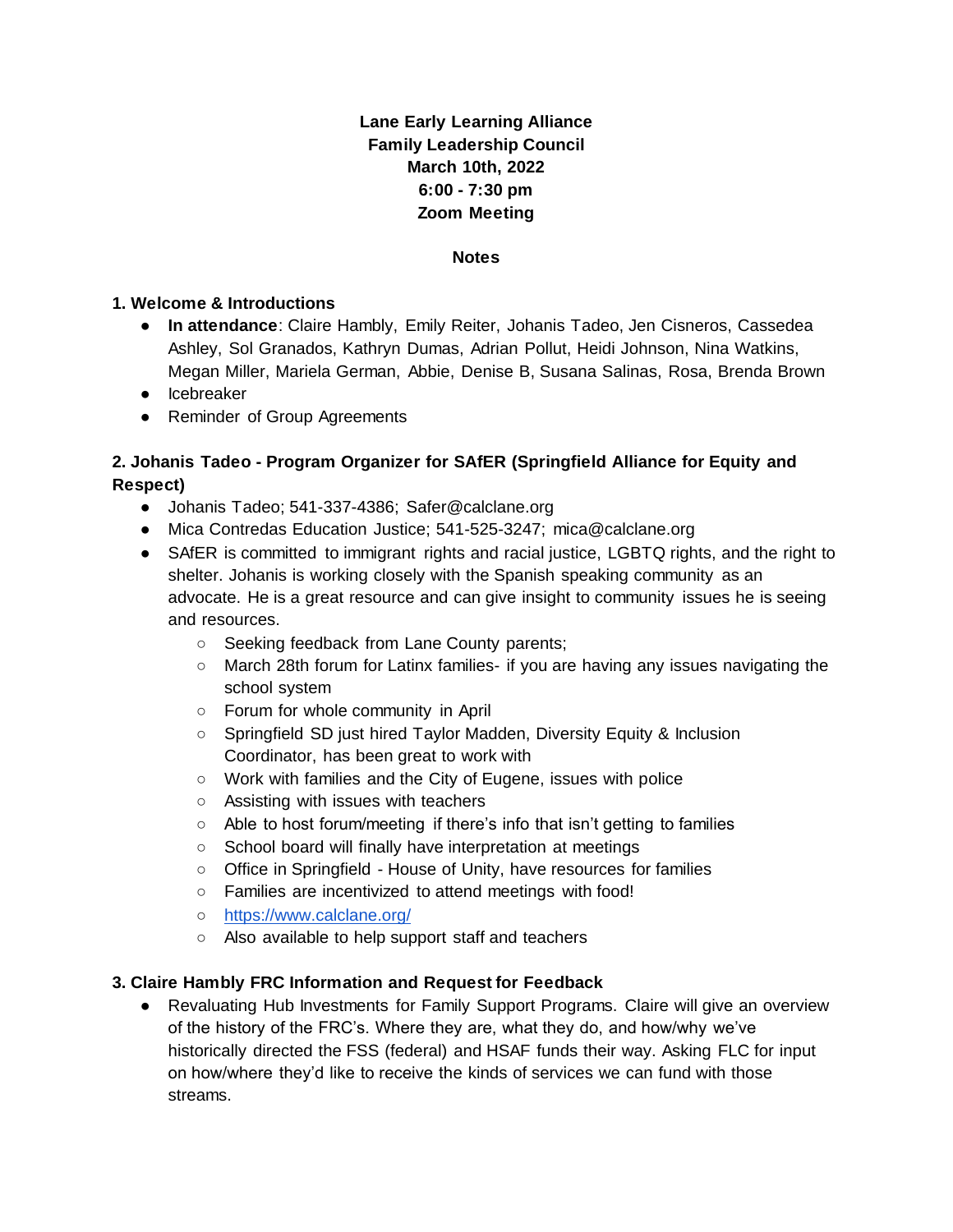## **Lane Early Learning Alliance Family Leadership Council March 10th, 2022 6:00 - 7:30 pm Zoom Meeting**

#### **Notes**

#### **1. Welcome & Introductions**

- **In attendance**: Claire Hambly, Emily Reiter, Johanis Tadeo, Jen Cisneros, Cassedea Ashley, Sol Granados, Kathryn Dumas, Adrian Pollut, Heidi Johnson, Nina Watkins, Megan Miller, Mariela German, Abbie, Denise B, Susana Salinas, Rosa, Brenda Brown
- Icebreaker
- Reminder of Group Agreements

### **2. Johanis Tadeo - Program Organizer for SAfER (Springfield Alliance for Equity and Respect)**

- Johanis Tadeo; 541-337-4386; Safer@calclane.org
- Mica Contredas Education Justice; 541-525-3247; mica@calclane.org
- SAfER is committed to immigrant rights and racial justice, LGBTQ rights, and the right to shelter. Johanis is working closely with the Spanish speaking community as an advocate. He is a great resource and can give insight to community issues he is seeing and resources.
	- Seeking feedback from Lane County parents;
	- March 28th forum for Latinx families- if you are having any issues navigating the school system
	- Forum for whole community in April
	- Springfield SD just hired Taylor Madden, Diversity Equity & Inclusion Coordinator, has been great to work with
	- Work with families and the City of Eugene, issues with police
	- Assisting with issues with teachers
	- Able to host forum/meeting if there's info that isn't getting to families
	- School board will finally have interpretation at meetings
	- Office in Springfield House of Unity, have resources for families
	- Families are incentivized to attend meetings with food!
	- <https://www.calclane.org/>
	- Also available to help support staff and teachers

#### **3. Claire Hambly FRC Information and Request for Feedback**

• Revaluating Hub Investments for Family Support Programs. Claire will give an overview of the history of the FRC's. Where they are, what they do, and how/why we've historically directed the FSS (federal) and HSAF funds their way. Asking FLC for input on how/where they'd like to receive the kinds of services we can fund with those streams.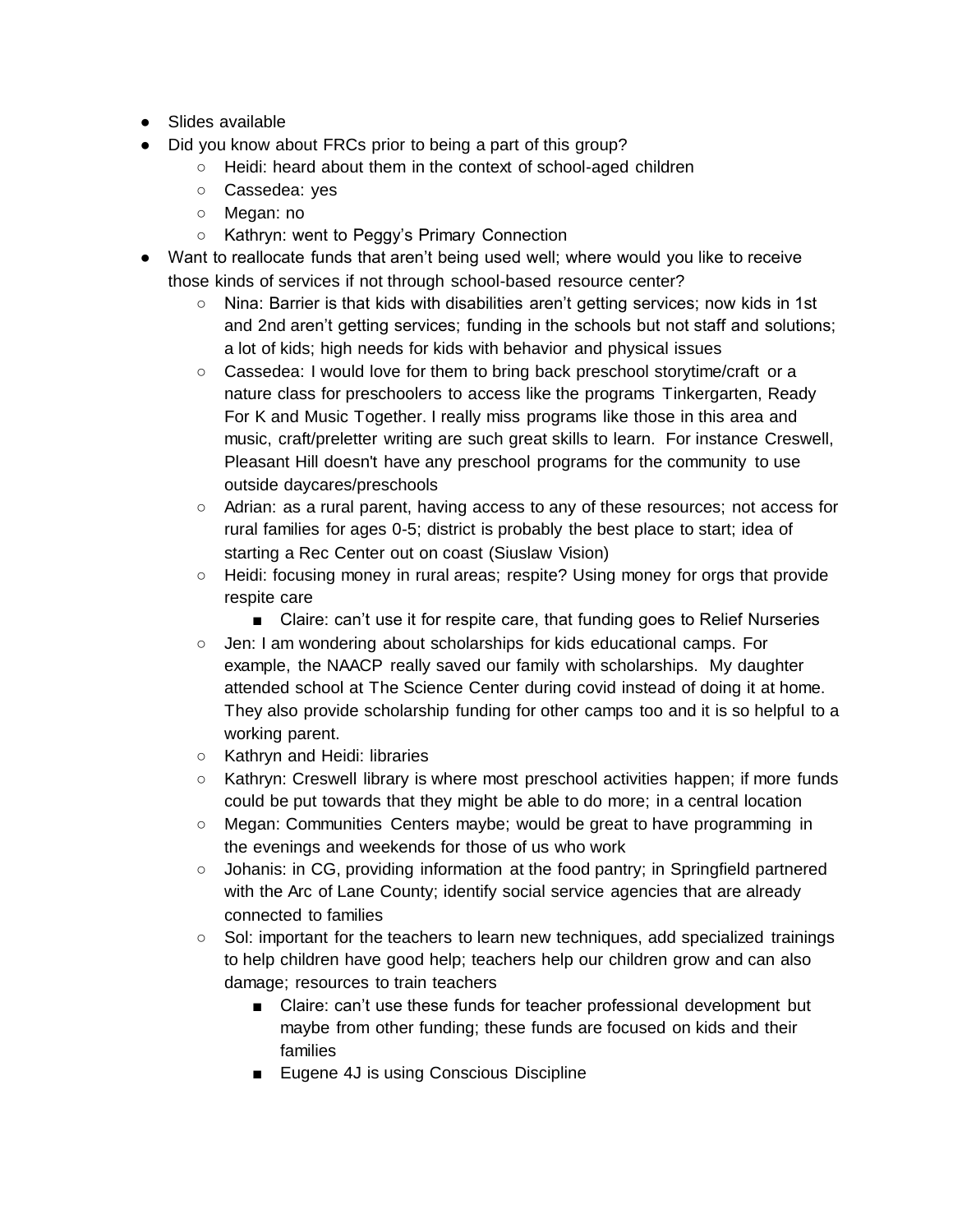- Slides available
- Did you know about FRCs prior to being a part of this group?
	- Heidi: heard about them in the context of school-aged children
	- Cassedea: yes
	- Megan: no
	- Kathryn: went to Peggy's Primary Connection
- Want to reallocate funds that aren't being used well; where would you like to receive those kinds of services if not through school-based resource center?
	- Nina: Barrier is that kids with disabilities aren't getting services; now kids in 1st and 2nd aren't getting services; funding in the schools but not staff and solutions; a lot of kids; high needs for kids with behavior and physical issues
	- Cassedea: I would love for them to bring back preschool storytime/craft or a nature class for preschoolers to access like the programs Tinkergarten, Ready For K and Music Together. I really miss programs like those in this area and music, craft/preletter writing are such great skills to learn. For instance Creswell, Pleasant Hill doesn't have any preschool programs for the community to use outside daycares/preschools
	- Adrian: as a rural parent, having access to any of these resources; not access for rural families for ages 0-5; district is probably the best place to start; idea of starting a Rec Center out on coast (Siuslaw Vision)
	- Heidi: focusing money in rural areas; respite? Using money for orgs that provide respite care
		- Claire: can't use it for respite care, that funding goes to Relief Nurseries
	- Jen: I am wondering about scholarships for kids educational camps. For example, the NAACP really saved our family with scholarships. My daughter attended school at The Science Center during covid instead of doing it at home. They also provide scholarship funding for other camps too and it is so helpful to a working parent.
	- Kathryn and Heidi: libraries
	- Kathryn: Creswell library is where most preschool activities happen; if more funds could be put towards that they might be able to do more; in a central location
	- Megan: Communities Centers maybe; would be great to have programming in the evenings and weekends for those of us who work
	- Johanis: in CG, providing information at the food pantry; in Springfield partnered with the Arc of Lane County; identify social service agencies that are already connected to families
	- Sol: important for the teachers to learn new techniques, add specialized trainings to help children have good help; teachers help our children grow and can also damage; resources to train teachers
		- Claire: can't use these funds for teacher professional development but maybe from other funding; these funds are focused on kids and their families
		- Eugene 4J is using Conscious Discipline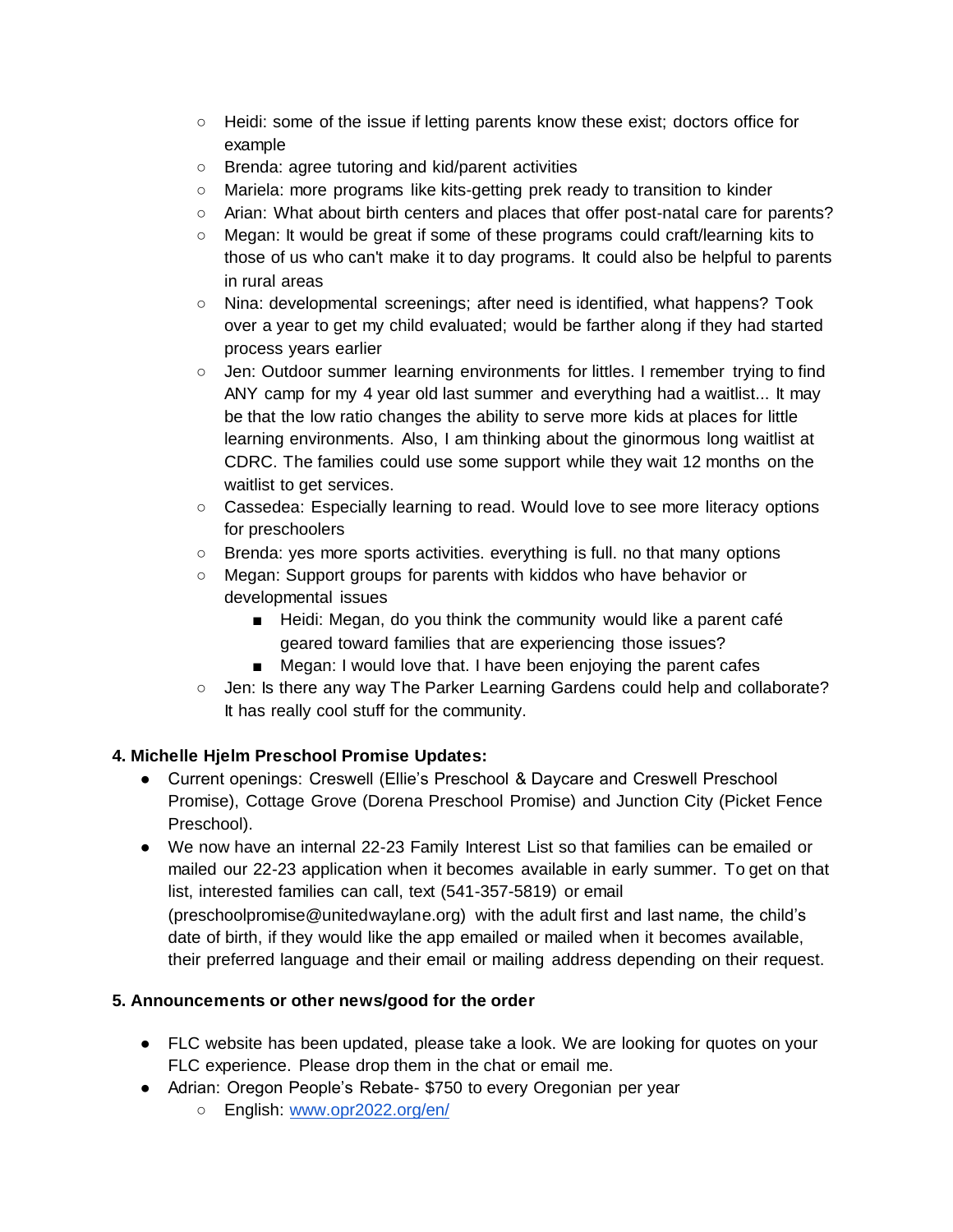- Heidi: some of the issue if letting parents know these exist; doctors office for example
- Brenda: agree tutoring and kid/parent activities
- Mariela: more programs like kits-getting prek ready to transition to kinder
- Arian: What about birth centers and places that offer post-natal care for parents?
- Megan: It would be great if some of these programs could craft/learning kits to those of us who can't make it to day programs. It could also be helpful to parents in rural areas
- Nina: developmental screenings; after need is identified, what happens? Took over a year to get my child evaluated; would be farther along if they had started process years earlier
- Jen: Outdoor summer learning environments for littles. I remember trying to find ANY camp for my 4 year old last summer and everything had a waitlist... It may be that the low ratio changes the ability to serve more kids at places for little learning environments. Also, I am thinking about the ginormous long waitlist at CDRC. The families could use some support while they wait 12 months on the waitlist to get services.
- Cassedea: Especially learning to read. Would love to see more literacy options for preschoolers
- Brenda: yes more sports activities. everything is full. no that many options
- Megan: Support groups for parents with kiddos who have behavior or developmental issues
	- Heidi: Megan, do you think the community would like a parent café geared toward families that are experiencing those issues?
	- Megan: I would love that. I have been enjoying the parent cafes
- Jen: Is there any way The Parker Learning Gardens could help and collaborate? It has really cool stuff for the community.

# **4. Michelle Hjelm Preschool Promise Updates:**

- Current openings: Creswell (Ellie's Preschool & Daycare and Creswell Preschool Promise), Cottage Grove (Dorena Preschool Promise) and Junction City (Picket Fence Preschool).
- We now have an internal 22-23 Family Interest List so that families can be emailed or mailed our 22-23 application when it becomes available in early summer. To get on that list, interested families can call, text (541-357-5819) or email (preschoolpromise@unitedwaylane.org) with the adult first and last name, the child's date of birth, if they would like the app emailed or mailed when it becomes available, their preferred language and their email or mailing address depending on their request.

### **5. Announcements or other news/good for the order**

- FLC website has been updated, please take a look. We are looking for quotes on your FLC experience. Please drop them in the chat or email me.
- Adrian: Oregon People's Rebate- \$750 to every Oregonian per year
	- o English: [www.opr2022.org/en/](http://www.opr2022.org/en/)